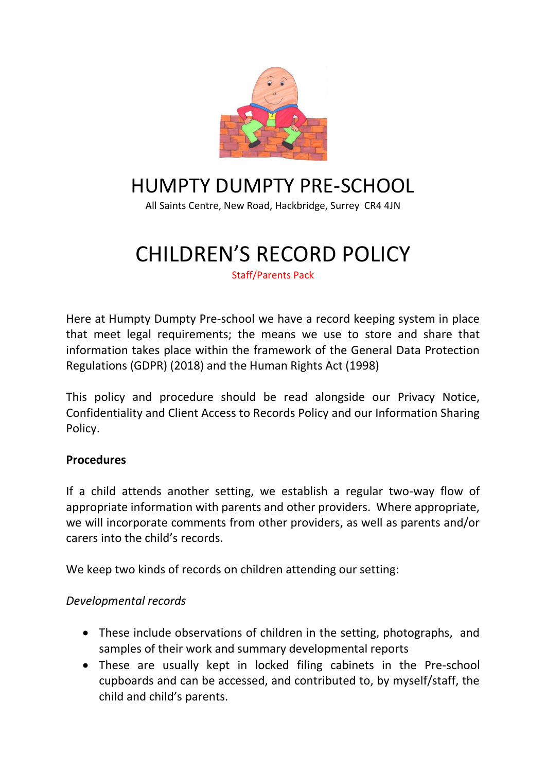

## HUMPTY DUMPTY PRE-SCHOOL

All Saints Centre, New Road, Hackbridge, Surrey CR4 4JN

# CHILDREN'S RECORD POLICY

Staff/Parents Pack

Here at Humpty Dumpty Pre-school we have a record keeping system in place that meet legal requirements; the means we use to store and share that information takes place within the framework of the General Data Protection Regulations (GDPR) (2018) and the Human Rights Act (1998)

This policy and procedure should be read alongside our Privacy Notice, Confidentiality and Client Access to Records Policy and our Information Sharing Policy.

#### **Procedures**

If a child attends another setting, we establish a regular two-way flow of appropriate information with parents and other providers. Where appropriate, we will incorporate comments from other providers, as well as parents and/or carers into the child's records.

We keep two kinds of records on children attending our setting:

#### *Developmental records*

- These include observations of children in the setting, photographs, and samples of their work and summary developmental reports
- These are usually kept in locked filing cabinets in the Pre-school cupboards and can be accessed, and contributed to, by myself/staff, the child and child's parents.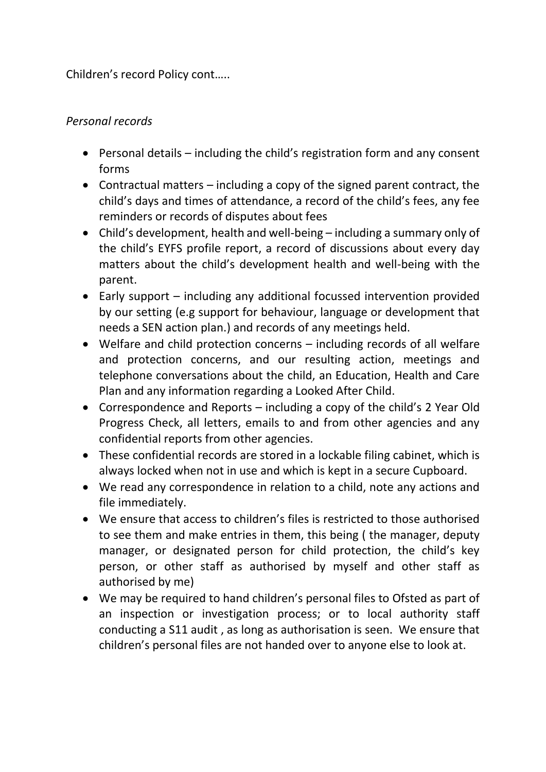Children's record Policy cont…..

## *Personal records*

- Personal details including the child's registration form and any consent forms
- Contractual matters including a copy of the signed parent contract, the child's days and times of attendance, a record of the child's fees, any fee reminders or records of disputes about fees
- Child's development, health and well-being including a summary only of the child's EYFS profile report, a record of discussions about every day matters about the child's development health and well-being with the parent.
- Early support including any additional focussed intervention provided by our setting (e.g support for behaviour, language or development that needs a SEN action plan.) and records of any meetings held.
- Welfare and child protection concerns including records of all welfare and protection concerns, and our resulting action, meetings and telephone conversations about the child, an Education, Health and Care Plan and any information regarding a Looked After Child.
- Correspondence and Reports including a copy of the child's 2 Year Old Progress Check, all letters, emails to and from other agencies and any confidential reports from other agencies.
- These confidential records are stored in a lockable filing cabinet, which is always locked when not in use and which is kept in a secure Cupboard.
- We read any correspondence in relation to a child, note any actions and file immediately.
- We ensure that access to children's files is restricted to those authorised to see them and make entries in them, this being ( the manager, deputy manager, or designated person for child protection, the child's key person, or other staff as authorised by myself and other staff as authorised by me)
- We may be required to hand children's personal files to Ofsted as part of an inspection or investigation process; or to local authority staff conducting a S11 audit , as long as authorisation is seen. We ensure that children's personal files are not handed over to anyone else to look at.